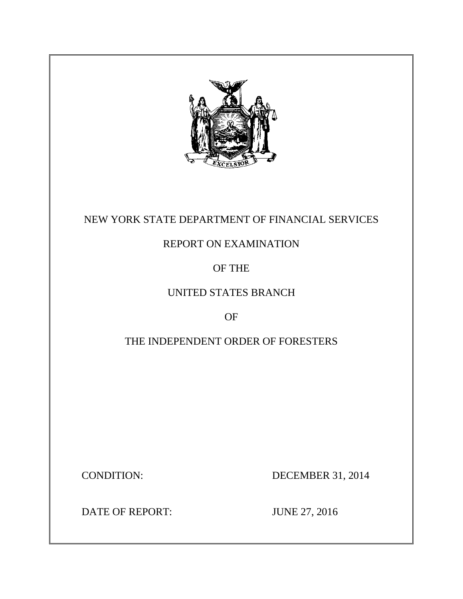

## NEW YORK STATE DEPARTMENT OF FINANCIAL SERVICES

## REPORT ON EXAMINATION

## OF THE

## UNITED STATES BRANCH

## OF

## THE INDEPENDENT ORDER OF FORESTERS

**CONDITION:** 

DECEMBER 31, 2014

DATE OF REPORT: JUNE 27, 2016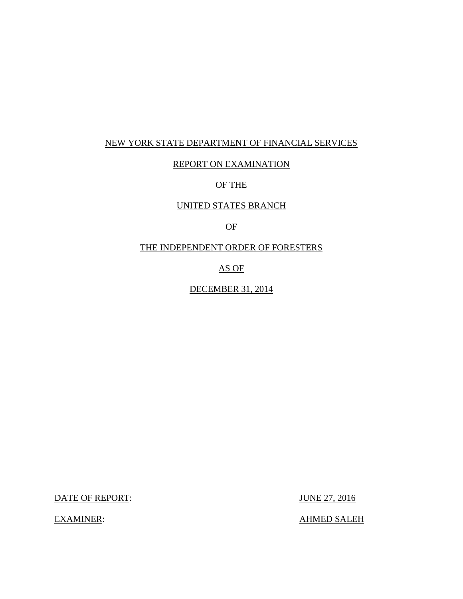## NEW YORK STATE DEPARTMENT OF FINANCIAL SERVICES

### REPORT ON EXAMINATION

### OF THE

### UNITED STATES BRANCH

## OF

### THE INDEPENDENT ORDER OF FORESTERS

### AS OF

### DECEMBER 31, 2014

DATE OF REPORT: JUNE 27, 2016

**EXAMINER:** 

AHMED SALEH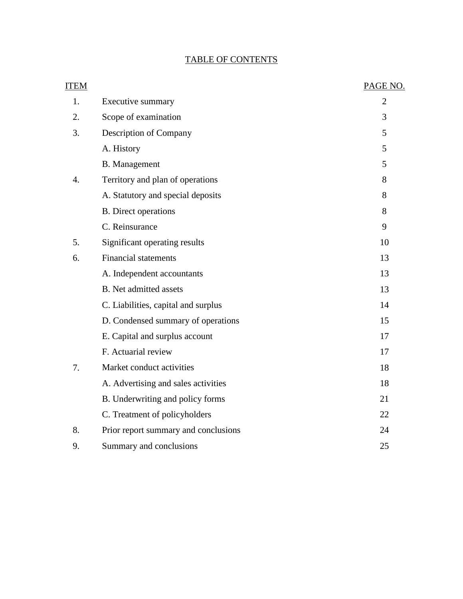## TABLE OF CONTENTS

| <b>ITEM</b>      |                                      | PAGE NO.       |
|------------------|--------------------------------------|----------------|
| 1.               | Executive summary                    | $\overline{2}$ |
| 2.               | Scope of examination                 | 3              |
| 3.               | Description of Company               | 5              |
|                  | A. History                           | 5              |
|                  | <b>B.</b> Management                 | 5              |
| $\overline{4}$ . | Territory and plan of operations     | 8              |
|                  | A. Statutory and special deposits    | 8              |
|                  | <b>B.</b> Direct operations          | 8              |
|                  | C. Reinsurance                       | 9              |
| 5.               | Significant operating results        | 10             |
| 6.               | <b>Financial statements</b>          | 13             |
|                  | A. Independent accountants           | 13             |
|                  | <b>B.</b> Net admitted assets        | 13             |
|                  | C. Liabilities, capital and surplus  | 14             |
|                  | D. Condensed summary of operations   | 15             |
|                  | E. Capital and surplus account       | 17             |
|                  | F. Actuarial review                  | 17             |
| 7.               | Market conduct activities            | 18             |
|                  | A. Advertising and sales activities  | 18             |
|                  | B. Underwriting and policy forms     | 21             |
|                  | C. Treatment of policyholders        | 22             |
| 8.               | Prior report summary and conclusions | 24             |
| 9.               | Summary and conclusions              | 25             |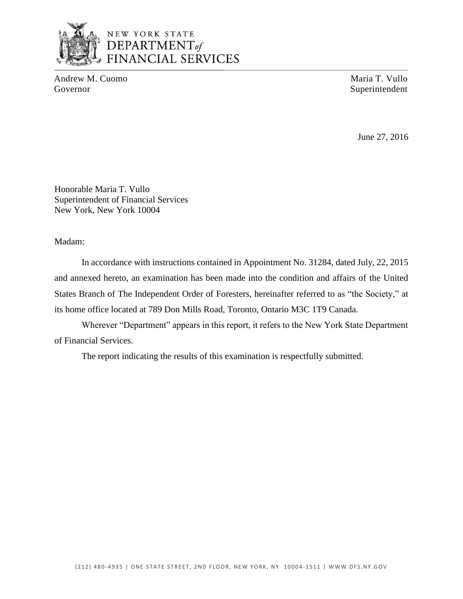

## NEW YORK STATE DEPARTMENT<sub>of</sub> **FINANCIAL SERVICES**

Andrew M. Cuomo Maria T. Vullo Governor Superintendent

June 27, 2016

Honorable Maria T. Vullo Superintendent of Financial Services New York, New York 10004

Madam:

 and annexed hereto, an examination has been made into the condition and affairs of the United States Branch of The Independent Order of Foresters, hereinafter referred to as "the Society," at In accordance with instructions contained in Appointment No. 31284, dated July, 22, 2015 its home office located at 789 Don Mills Road, Toronto, Ontario M3C 1T9 Canada.

 Wherever "Department" appears in this report, it refers to the New York State Department of Financial Services.

The report indicating the results of this examination is respectfully submitted.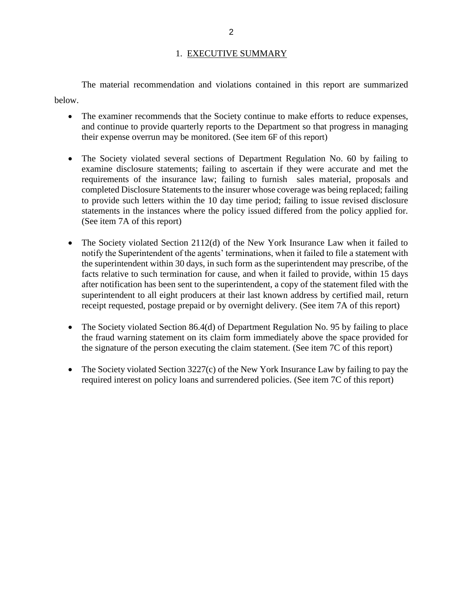### 1. EXECUTIVE SUMMARY

The material recommendation and violations contained in this report are summarized below.

- The examiner recommends that the Society continue to make efforts to reduce expenses, and continue to provide quarterly reports to the Department so that progress in managing their expense overrun may be monitored. (See item 6F of this report)
- The Society violated several sections of Department Regulation No. 60 by failing to examine disclosure statements; failing to ascertain if they were accurate and met the requirements of the insurance law; failing to furnish sales material, proposals and completed Disclosure Statements to the insurer whose coverage was being replaced; failing to provide such letters within the 10 day time period; failing to issue revised disclosure statements in the instances where the policy issued differed from the policy applied for. (See item 7A of this report)
- The Society violated Section 2112(d) of the New York Insurance Law when it failed to notify the Superintendent of the agents' terminations, when it failed to file a statement with facts relative to such termination for cause, and when it failed to provide, within 15 days after notification has been sent to the superintendent, a copy of the statement filed with the superintendent to all eight producers at their last known address by certified mail, return the superintendent within 30 days, in such form as the superintendent may prescribe, of the receipt requested, postage prepaid or by overnight delivery. (See item 7A of this report)
- The Society violated Section 86.4(d) of Department Regulation No. 95 by failing to place the fraud warning statement on its claim form immediately above the space provided for the signature of the person executing the claim statement. (See item 7C of this report)
- The Society violated Section 3227(c) of the New York Insurance Law by failing to pay the required interest on policy loans and surrendered policies. (See item 7C of this report)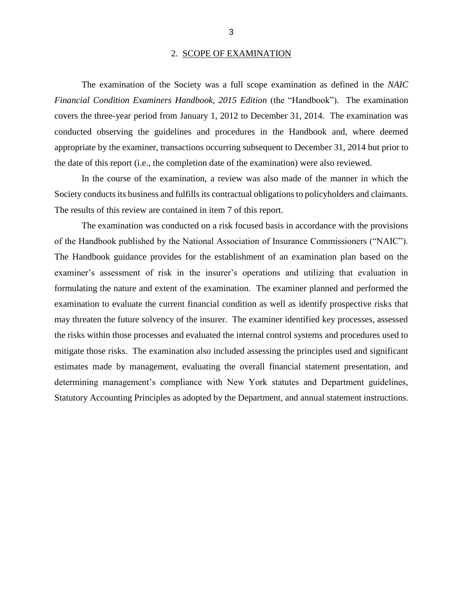#### 2. SCOPE OF EXAMINATION

 *Financial Condition Examiners Handbook, 2015 Edition* (the "Handbook")*.* The examination covers the three-year period from January 1, 2012 to December 31, 2014. The examination was conducted observing the guidelines and procedures in the Handbook and, where deemed appropriate by the examiner, transactions occurring subsequent to December 31, 2014 but prior to The examination of the Society was a full scope examination as defined in the *NAIC*  the date of this report (i.e., the completion date of the examination) were also reviewed.

 In the course of the examination, a review was also made of the manner in which the Society conducts its business and fulfills its contractual obligations to policyholders and claimants. The results of this review are contained in item 7 of this report.

 formulating the nature and extent of the examination. The examiner planned and performed the examination to evaluate the current financial condition as well as identify prospective risks that may threaten the future solvency of the insurer. The examiner identified key processes, assessed mitigate those risks. The examination also included assessing the principles used and significant estimates made by management, evaluating the overall financial statement presentation, and Statutory Accounting Principles as adopted by the Department, and annual statement instructions. The examination was conducted on a risk focused basis in accordance with the provisions of the Handbook published by the National Association of Insurance Commissioners ("NAIC"). The Handbook guidance provides for the establishment of an examination plan based on the examiner's assessment of risk in the insurer's operations and utilizing that evaluation in the risks within those processes and evaluated the internal control systems and procedures used to determining management's compliance with New York statutes and Department guidelines,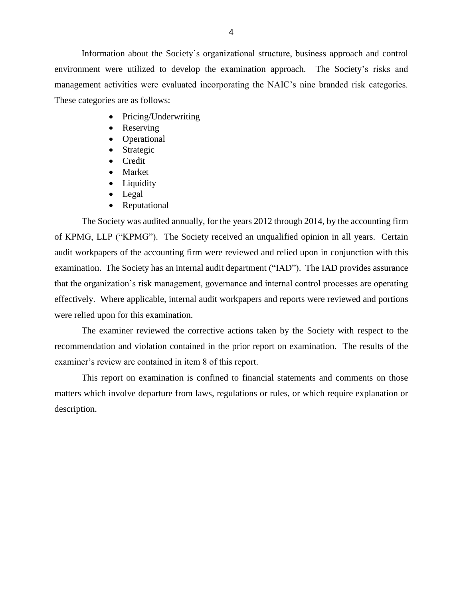environment were utilized to develop the examination approach. The Society's risks and management activities were evaluated incorporating the NAIC's nine branded risk categories. These categories are as follows: Information about the Society's organizational structure, business approach and control

- Pricing/Underwriting
- Reserving
- Operational
- Strategic
- Credit
- Market
- Liquidity
- Legal
- Reputational

 The Society was audited annually, for the years 2012 through 2014, by the accounting firm of KPMG, LLP ("KPMG"). The Society received an unqualified opinion in all years. Certain audit workpapers of the accounting firm were reviewed and relied upon in conjunction with this examination. The Society has an internal audit department ("IAD"). The IAD provides assurance effectively. Where applicable, internal audit workpapers and reports were reviewed and portions that the organization's risk management, governance and internal control processes are operating were relied upon for this examination.

 recommendation and violation contained in the prior report on examination. The results of the examiner's review are contained in item 8 of this report. The examiner reviewed the corrective actions taken by the Society with respect to the

 matters which involve departure from laws, regulations or rules, or which require explanation or This report on examination is confined to financial statements and comments on those description.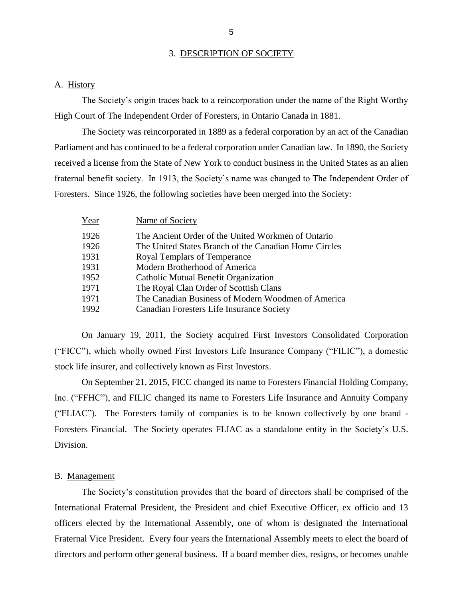#### 3. DESCRIPTION OF SOCIETY

#### A. History

The Society's origin traces back to a reincorporation under the name of the Right Worthy High Court of The Independent Order of Foresters, in Ontario Canada in 1881.

 Parliament and has continued to be a federal corporation under Canadian law. In 1890, the Society received a license from the State of New York to conduct business in the United States as an alien The Society was reincorporated in 1889 as a federal corporation by an act of the Canadian fraternal benefit society. In 1913, the Society's name was changed to The Independent Order of Foresters. Since 1926, the following societies have been merged into the Society:

| Year | Name of Society                                       |
|------|-------------------------------------------------------|
| 1926 | The Ancient Order of the United Workmen of Ontario    |
| 1926 | The United States Branch of the Canadian Home Circles |
| 1931 | Royal Templars of Temperance                          |
| 1931 | Modern Brotherhood of America                         |
| 1952 | Catholic Mutual Benefit Organization                  |
| 1971 | The Royal Clan Order of Scottish Clans                |
| 1971 | The Canadian Business of Modern Woodmen of America    |
| 1992 | Canadian Foresters Life Insurance Society             |
|      |                                                       |

 On January 19, 2011, the Society acquired First Investors Consolidated Corporation ("FICC"), which wholly owned First Investors Life Insurance Company ("FILIC"), a domestic stock life insurer, and collectively known as First Investors.

 Inc. ("FFHC"), and FILIC changed its name to Foresters Life Insurance and Annuity Company ("FLIAC"). The Foresters family of companies is to be known collectively by one brand - Foresters Financial. The Society operates FLIAC as a standalone entity in the Society's U.S. On September 21, 2015, FICC changed its name to Foresters Financial Holding Company, Division.

#### B. Management

 The Society's constitution provides that the board of directors shall be comprised of the International Fraternal President, the President and chief Executive Officer, ex officio and 13 officers elected by the International Assembly, one of whom is designated the International Fraternal Vice President. Every four years the International Assembly meets to elect the board of directors and perform other general business. If a board member dies, resigns, or becomes unable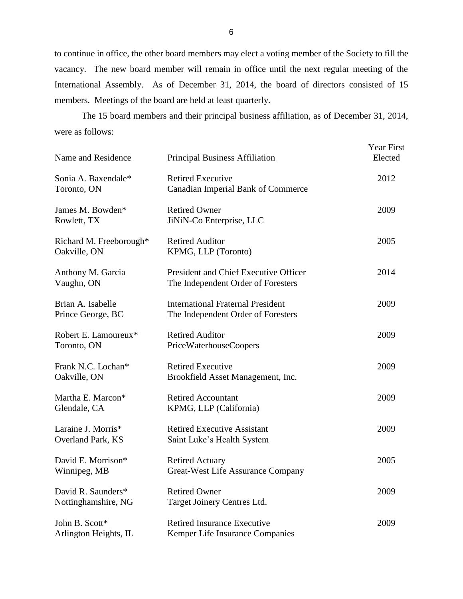to continue in office, the other board members may elect a voting member of the Society to fill the vacancy. The new board member will remain in office until the next regular meeting of the International Assembly. As of December 31, 2014, the board of directors consisted of 15 members. Meetings of the board are held at least quarterly.

 were as follows: The 15 board members and their principal business affiliation, as of December 31, 2014,

| Name and Residence                        | <b>Principal Business Affiliation</b>                                          | <b>Year First</b><br>Elected |
|-------------------------------------------|--------------------------------------------------------------------------------|------------------------------|
| Sonia A. Baxendale*<br>Toronto, ON        | <b>Retired Executive</b><br><b>Canadian Imperial Bank of Commerce</b>          | 2012                         |
| James M. Bowden*<br>Rowlett, TX           | <b>Retired Owner</b><br>JiNiN-Co Enterprise, LLC                               | 2009                         |
| Richard M. Freeborough*<br>Oakville, ON   | <b>Retired Auditor</b><br>KPMG, LLP (Toronto)                                  | 2005                         |
| Anthony M. Garcia<br>Vaughn, ON           | President and Chief Executive Officer<br>The Independent Order of Foresters    | 2014                         |
| Brian A. Isabelle<br>Prince George, BC    | <b>International Fraternal President</b><br>The Independent Order of Foresters | 2009                         |
| Robert E. Lamoureux*<br>Toronto, ON       | <b>Retired Auditor</b><br>PriceWaterhouseCoopers                               | 2009                         |
| Frank N.C. Lochan*<br>Oakville, ON        | <b>Retired Executive</b><br>Brookfield Asset Management, Inc.                  | 2009                         |
| Martha E. Marcon*<br>Glendale, CA         | <b>Retired Accountant</b><br>KPMG, LLP (California)                            | 2009                         |
| Laraine J. Morris*<br>Overland Park, KS   | <b>Retired Executive Assistant</b><br>Saint Luke's Health System               | 2009                         |
| David E. Morrison*<br>Winnipeg, MB        | <b>Retired Actuary</b><br>Great-West Life Assurance Company                    | 2005                         |
| David R. Saunders*<br>Nottinghamshire, NG | <b>Retired Owner</b><br>Target Joinery Centres Ltd.                            | 2009                         |
| John B. Scott*<br>Arlington Heights, IL   | <b>Retired Insurance Executive</b><br>Kemper Life Insurance Companies          | 2009                         |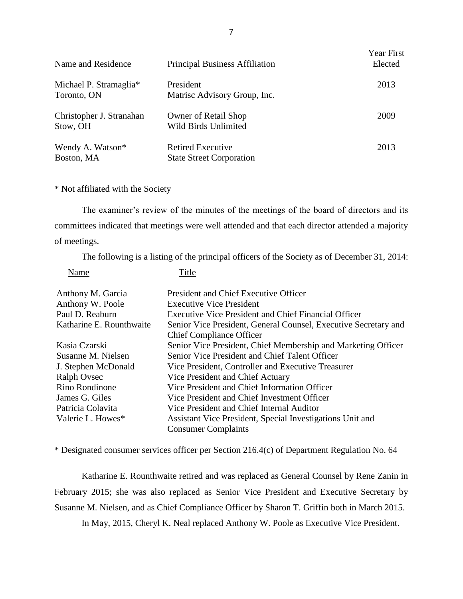| Name and Residence                    | <b>Principal Business Affiliation</b>                       | <b>Year First</b><br>Elected |
|---------------------------------------|-------------------------------------------------------------|------------------------------|
| Michael P. Stramaglia*<br>Toronto, ON | President<br>Matrisc Advisory Group, Inc.                   | 2013                         |
| Christopher J. Stranahan<br>Stow, OH  | <b>Owner of Retail Shop</b><br>Wild Birds Unlimited         | 2009                         |
| Wendy A. Watson*<br>Boston, MA        | <b>Retired Executive</b><br><b>State Street Corporation</b> | 2013                         |

\* Not affiliated with the Society

Name Title

 committees indicated that meetings were well attended and that each director attended a majority The examiner's review of the minutes of the meetings of the board of directors and its of meetings.

The following is a listing of the principal officers of the Society as of December 31, 2014:

| ,,,,,,,,                 | .                                                               |
|--------------------------|-----------------------------------------------------------------|
| Anthony M. Garcia        | President and Chief Executive Officer                           |
| Anthony W. Poole         | <b>Executive Vice President</b>                                 |
| Paul D. Reaburn          | <b>Executive Vice President and Chief Financial Officer</b>     |
| Katharine E. Rounthwaite | Senior Vice President, General Counsel, Executive Secretary and |
|                          | <b>Chief Compliance Officer</b>                                 |
| Kasia Czarski            | Senior Vice President, Chief Membership and Marketing Officer   |
| Susanne M. Nielsen       | Senior Vice President and Chief Talent Officer                  |
| J. Stephen McDonald      | Vice President, Controller and Executive Treasurer              |
| Ralph Ovsec              | Vice President and Chief Actuary                                |
| Rino Rondinone           | Vice President and Chief Information Officer                    |
| James G. Giles           | Vice President and Chief Investment Officer                     |
| Patricia Colavita        | Vice President and Chief Internal Auditor                       |
| Valerie L. Howes*        | Assistant Vice President, Special Investigations Unit and       |
|                          | <b>Consumer Complaints</b>                                      |

\* Designated consumer services officer per Section 216.4(c) of Department Regulation No. 64

 Katharine E. Rounthwaite retired and was replaced as General Counsel by Rene Zanin in February 2015; she was also replaced as Senior Vice President and Executive Secretary by Susanne M. Nielsen, and as Chief Compliance Officer by Sharon T. Griffin both in March 2015.

In May, 2015, Cheryl K. Neal replaced Anthony W. Poole as Executive Vice President.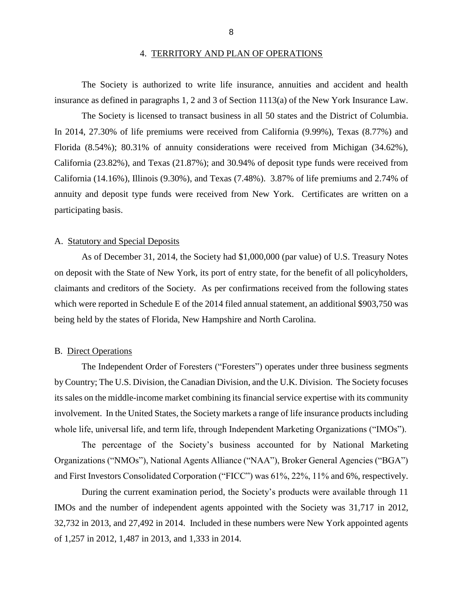#### 4. TERRITORY AND PLAN OF OPERATIONS

<span id="page-10-0"></span>The Society is authorized to write life insurance, annuities and accident and health insurance as defined in paragraphs 1, 2 and 3 of Section 1113(a) of the New York Insurance Law.

 The Society is licensed to transact business in all 50 states and the District of Columbia. In 2014, 27.30% of life premiums were received from California (9.99%), Texas (8.77%) and Florida (8.54%); 80.31% of annuity considerations were received from Michigan (34.62%), California (23.82%), and Texas (21.87%); and 30.94% of deposit type funds were received from California (14.16%), Illinois (9.30%), and Texas (7.48%). 3.87% of life premiums and 2.74% of annuity and deposit type funds were received from New York. Certificates are written on a participating basis.

#### A. Statutory and Special Deposits

 As of December 31, 2014, the Society had \$1,000,000 (par value) of U.S. Treasury Notes on deposit with the State of New York, its port of entry state, for the benefit of all policyholders, claimants and creditors of the Society. As per confirmations received from the following states which were reported in Schedule E of the 2014 filed annual statement, an additional \$903,750 was being held by the states of Florida, New Hampshire and North Carolina.

#### B. Direct Operations

 The Independent Order of Foresters ("Foresters") operates under three business segments by Country; The U.S. Division, the Canadian Division, and the U.K. Division. The Society focuses involvement. In the United States, the Society markets a range of life insurance products including its sales on the middle-income market combining its financial service expertise with its community whole life, universal life, and term life, through Independent Marketing Organizations ("IMOs").

 The percentage of the Society's business accounted for by National Marketing Organizations ("NMOs"), National Agents Alliance ("NAA"), Broker General Agencies ("BGA") and First Investors Consolidated Corporation ("FICC") was 61%, 22%, 11% and 6%, respectively.

 During the current examination period, the Society's products were available through 11 of 1,257 in 2012, 1,487 in 2013, and 1,333 in 2014. IMOs and the number of independent agents appointed with the Society was 31,717 in 2012, 32,732 in 2013, and 27,492 in 2014. Included in these numbers were New York appointed agents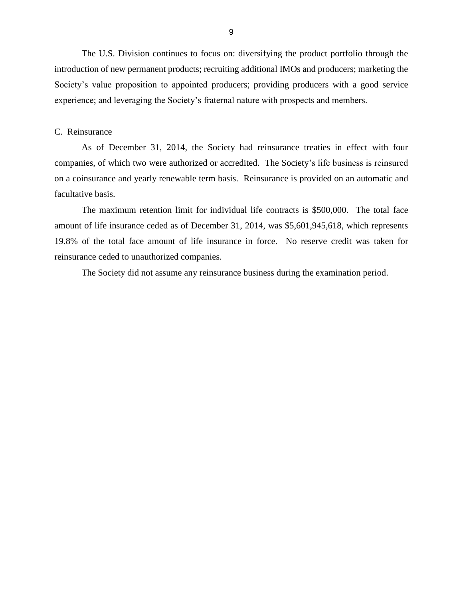<span id="page-11-0"></span> The U.S. Division continues to focus on: diversifying the product portfolio through the introduction of new permanent products; recruiting additional IMOs and producers; marketing the Society's value proposition to appointed producers; providing producers with a good service experience; and leveraging the Society's fraternal nature with prospects and members.

#### C. Reinsurance

 companies, of which two were authorized or accredited. The Society's life business is reinsured on a coinsurance and yearly renewable term basis. Reinsurance is provided on an automatic and As of December 31, 2014, the Society had reinsurance treaties in effect with four facultative basis.

 The maximum retention limit for individual life contracts is \$500,000. The total face amount of life insurance ceded as of December 31, 2014, was \$5,601,945,618, which represents 19.8% of the total face amount of life insurance in force. No reserve credit was taken for reinsurance ceded to unauthorized companies.

The Society did not assume any reinsurance business during the examination period.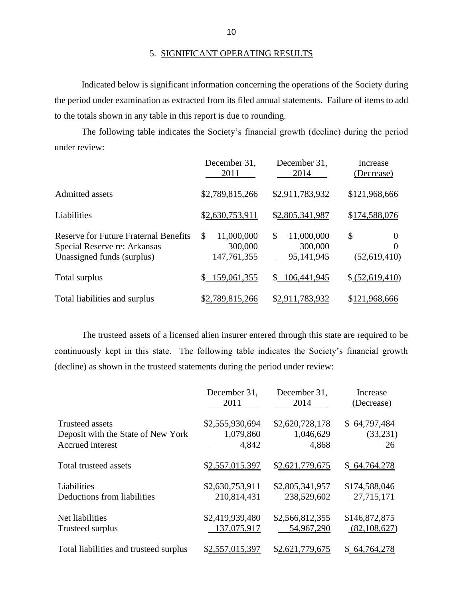Indicated below is significant information concerning the operations of the Society during the period under examination as extracted from its filed annual statements. Failure of items to add to the totals shown in any table in this report is due to rounding.

 The following table indicates the Society's financial growth (decline) during the period under review:

|                                                                                                            | December 31,<br>2011                       | December 31,<br>2014                      | Increase<br>(Decrease)              |
|------------------------------------------------------------------------------------------------------------|--------------------------------------------|-------------------------------------------|-------------------------------------|
| Admitted assets                                                                                            | \$2,789,815,266                            | \$2,911,783,932                           | \$121,968,666                       |
| Liabilities                                                                                                | \$2,630,753,911                            | \$2,805,341,987                           | \$174,588,076                       |
| <b>Reserve for Future Fraternal Benefits</b><br>Special Reserve re: Arkansas<br>Unassigned funds (surplus) | \$<br>11,000,000<br>300,000<br>147,761,355 | \$<br>11,000,000<br>300,000<br>95,141,945 | \$<br>$\theta$<br>0<br>(52,619,410) |
| Total surplus                                                                                              | 159,061,355                                | 106,441,945<br>S.                         | \$ (52,619,410)                     |
| Total liabilities and surplus                                                                              | \$2,789,815,266                            | \$2,911,783,932                           | \$121,968,666                       |

 The trusteed assets of a licensed alien insurer entered through this state are required to be continuously kept in this state. The following table indicates the Society's financial growth (decline) as shown in the trusteed statements during the period under review:

|                                        | December 31,<br>2011 | December 31,<br>2014 | Increase<br>(Decrease) |
|----------------------------------------|----------------------|----------------------|------------------------|
|                                        |                      |                      |                        |
| <b>Trusteed assets</b>                 | \$2,555,930,694      | \$2,620,728,178      | \$64,797,484           |
| Deposit with the State of New York     | 1,079,860            | 1,046,629            | (33,231)               |
| Accrued interest                       | 4,842                | 4,868                | 26                     |
| Total trusteed assets                  | \$2,557,015,397      | \$2,621,779,675      | \$64,764,278           |
| Liabilities                            | \$2,630,753,911      | \$2,805,341,957      | \$174,588,046          |
| Deductions from liabilities            | 210,814,431          | 238,529,602          | 27,715,171             |
| Net liabilities                        | \$2,419,939,480      | \$2,566,812,355      | \$146,872,875          |
| Trusteed surplus                       | 137,075,917          | 54,967,290           | (82, 108, 627)         |
| Total liabilities and trusteed surplus | \$2,557,015,397      | \$2,621,779,675      | 64,764,278<br>S.       |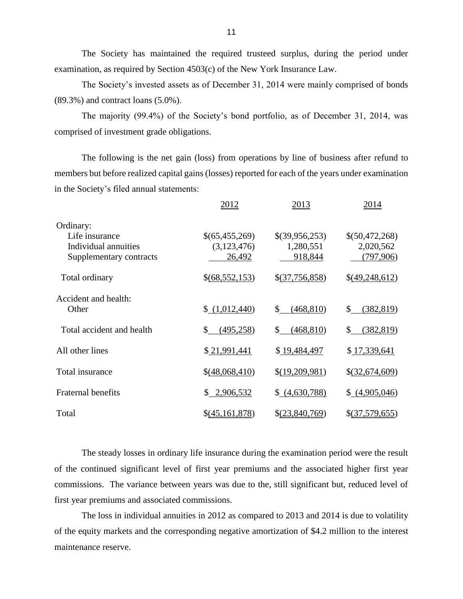The Society has maintained the required trusteed surplus, during the period under examination, as required by Section 4503(c) of the New York Insurance Law.

 The Society's invested assets as of December 31, 2014 were mainly comprised of bonds (89.3%) and contract loans (5.0%).

 The majority (99.4%) of the Society's bond portfolio, as of December 31, 2014, was comprised of investment grade obligations.

 The following is the net gain (loss) from operations by line of business after refund to members but before realized capital gains (losses) reported for each of the years under examination in the Society's filed annual statements:

|                                                                                | 2012                                    | 2013                                   | 2014                                     |
|--------------------------------------------------------------------------------|-----------------------------------------|----------------------------------------|------------------------------------------|
| Ordinary:<br>Life insurance<br>Individual annuities<br>Supplementary contracts | \$(65,455,269)<br>(3,123,476)<br>26,492 | \$(39,956,253)<br>1,280,551<br>918,844 | \$(50,472,268)<br>2,020,562<br>(797,906) |
| Total ordinary                                                                 | \$(68,552,153)                          | \$(37,756,858)                         | $\{(49, 248, 612)\}$                     |
| Accident and health:<br>Other                                                  | \$(1,012,440)                           | (468, 810)<br>S.                       | $\mathbb{S}$<br>(382, 819)               |
| Total accident and health                                                      | (495, 258)<br>\$                        | (468, 810)<br>\$                       | (382, 819)<br>\$                         |
| All other lines                                                                | \$21,991,441                            | \$19,484,497                           | \$17,339,641                             |
| Total insurance                                                                | \$(48,068,410)                          | \$(19,209,981)                         | \$(32,674,609)                           |
| <b>Fraternal benefits</b>                                                      | \$2,906,532                             | (4,630,788)                            | \$(4,905,046)                            |
| Total                                                                          | $\{(45, 161, 878)$                      | $\S(23,840,769)$                       | \$(37,579,655)                           |

 The steady losses in ordinary life insurance during the examination period were the result commissions. The variance between years was due to the, still significant but, reduced level of of the continued significant level of first year premiums and the associated higher first year first year premiums and associated commissions.

 The loss in individual annuities in 2012 as compared to 2013 and 2014 is due to volatility of the equity markets and the corresponding negative amortization of \$4.2 million to the interest maintenance reserve.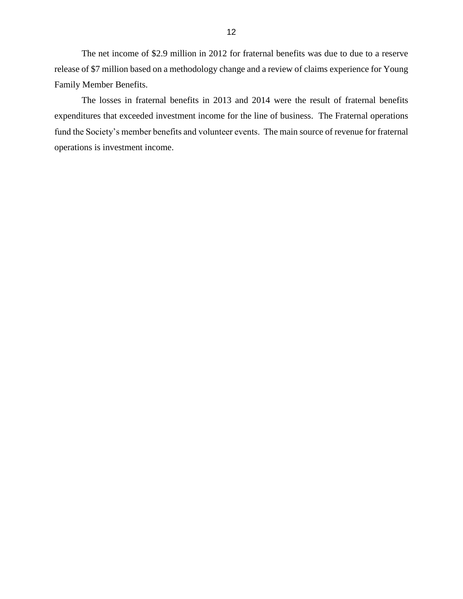The net income of \$2.9 million in 2012 for fraternal benefits was due to due to a reserve release of \$7 million based on a methodology change and a review of claims experience for Young Family Member Benefits.

 The losses in fraternal benefits in 2013 and 2014 were the result of fraternal benefits expenditures that exceeded investment income for the line of business. The Fraternal operations fund the Society's member benefits and volunteer events. The main source of revenue for fraternal operations is investment income.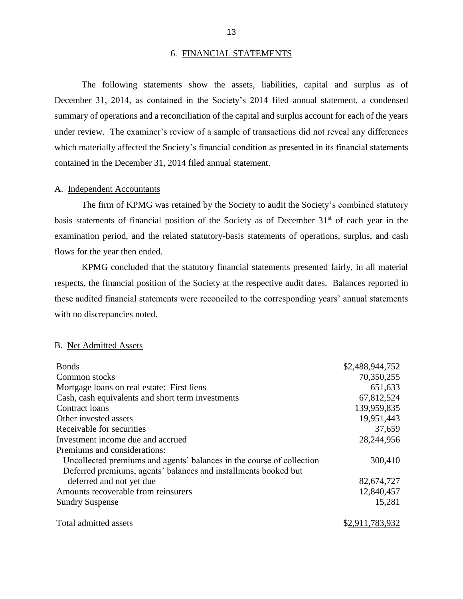#### 6. FINANCIAL STATEMENTS

 December 31, 2014, as contained in the Society's 2014 filed annual statement, a condensed summary of operations and a reconciliation of the capital and surplus account for each of the years under review. The examiner's review of a sample of transactions did not reveal any differences The following statements show the assets, liabilities, capital and surplus as of which materially affected the Society's financial condition as presented in its financial statements contained in the December 31, 2014 filed annual statement.

#### A. Independent Accountants

basis statements of financial position of the Society as of December  $31<sup>st</sup>$  of each year in the The firm of KPMG was retained by the Society to audit the Society's combined statutory examination period, and the related statutory-basis statements of operations, surplus, and cash flows for the year then ended.

 KPMG concluded that the statutory financial statements presented fairly, in all material respects, the financial position of the Society at the respective audit dates. Balances reported in these audited financial statements were reconciled to the corresponding years' annual statements with no discrepancies noted.

#### B. Net Admitted Assets

| <b>Bonds</b>                                                          | \$2,488,944,752 |
|-----------------------------------------------------------------------|-----------------|
| Common stocks                                                         | 70,350,255      |
| Mortgage loans on real estate: First liens                            | 651,633         |
| Cash, cash equivalents and short term investments                     | 67,812,524      |
| Contract loans                                                        | 139,959,835     |
| Other invested assets                                                 | 19,951,443      |
| Receivable for securities                                             | 37,659          |
| Investment income due and accrued                                     | 28,244,956      |
| Premiums and considerations:                                          |                 |
| Uncollected premiums and agents' balances in the course of collection | 300,410         |
| Deferred premiums, agents' balances and installments booked but       |                 |
| deferred and not yet due                                              | 82,674,727      |
| Amounts recoverable from reinsurers                                   | 12,840,457      |
| <b>Sundry Suspense</b>                                                | 15,281          |
| Total admitted assets                                                 | \$2,911,783,932 |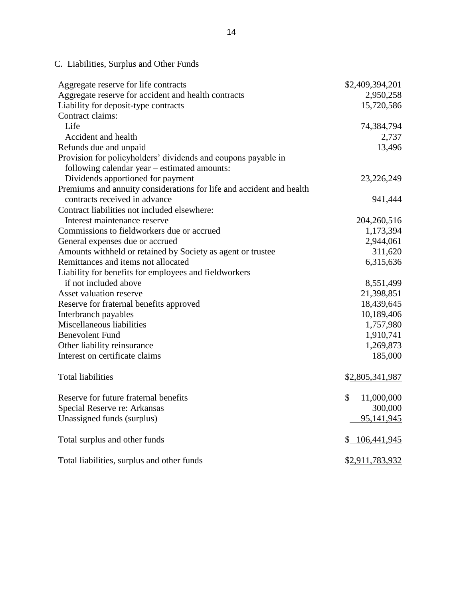## C. Liabilities, Surplus and Other Funds

| Aggregate reserve for life contracts                                 | \$2,409,394,201  |
|----------------------------------------------------------------------|------------------|
| Aggregate reserve for accident and health contracts                  | 2,950,258        |
| Liability for deposit-type contracts                                 | 15,720,586       |
| Contract claims:                                                     |                  |
| Life                                                                 | 74,384,794       |
| Accident and health                                                  | 2,737            |
| Refunds due and unpaid                                               | 13,496           |
| Provision for policyholders' dividends and coupons payable in        |                  |
| following calendar year – estimated amounts:                         |                  |
| Dividends apportioned for payment                                    | 23,226,249       |
| Premiums and annuity considerations for life and accident and health |                  |
| contracts received in advance                                        | 941,444          |
| Contract liabilities not included elsewhere:                         |                  |
| Interest maintenance reserve                                         | 204,260,516      |
| Commissions to fieldworkers due or accrued                           | 1,173,394        |
| General expenses due or accrued                                      | 2,944,061        |
| Amounts withheld or retained by Society as agent or trustee          | 311,620          |
| Remittances and items not allocated                                  | 6,315,636        |
| Liability for benefits for employees and fieldworkers                |                  |
| if not included above                                                | 8,551,499        |
| Asset valuation reserve                                              | 21,398,851       |
| Reserve for fraternal benefits approved                              | 18,439,645       |
| Interbranch payables                                                 | 10,189,406       |
| Miscellaneous liabilities                                            | 1,757,980        |
| <b>Benevolent Fund</b>                                               | 1,910,741        |
| Other liability reinsurance                                          | 1,269,873        |
| Interest on certificate claims                                       | 185,000          |
| <b>Total liabilities</b>                                             | \$2,805,341,987  |
| Reserve for future fraternal benefits                                | \$<br>11,000,000 |
| Special Reserve re: Arkansas                                         | 300,000          |
| Unassigned funds (surplus)                                           | 95,141,945       |
| Total surplus and other funds                                        | \$106,441,945    |
| Total liabilities, surplus and other funds                           | \$2,911,783,932  |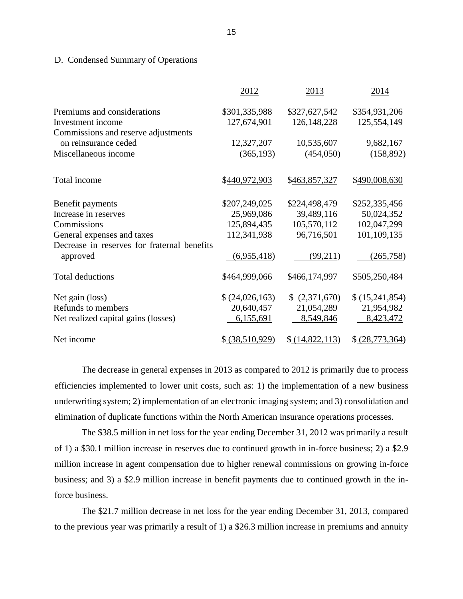#### D. Condensed Summary of Operations

|                                             | 2012            | 2013              | 2014              |
|---------------------------------------------|-----------------|-------------------|-------------------|
| Premiums and considerations                 | \$301,335,988   | \$327,627,542     | \$354,931,206     |
| Investment income                           | 127,674,901     | 126, 148, 228     | 125,554,149       |
| Commissions and reserve adjustments         |                 |                   |                   |
| on reinsurance ceded                        | 12,327,207      | 10,535,607        | 9,682,167         |
| Miscellaneous income                        | (365, 193)      | (454,050)         | (158, 892)        |
| Total income                                | \$440,972,903   | \$463,857,327     | \$490,008,630     |
| Benefit payments                            | \$207,249,025   | \$224,498,479     | \$252,335,456     |
| Increase in reserves                        | 25,969,086      | 39,489,116        | 50,024,352        |
| Commissions                                 | 125,894,435     | 105,570,112       | 102,047,299       |
| General expenses and taxes                  | 112,341,938     | 96,716,501        | 101,109,135       |
| Decrease in reserves for fraternal benefits |                 |                   |                   |
| approved                                    | (6,955,418)     | (99,211)          | (265, 758)        |
| <b>Total deductions</b>                     | \$464,999,066   | \$466,174,997     | \$505,250,484     |
| Net gain (loss)                             | (24,026,163)    | (2,371,670)<br>\$ | \$(15,241,854)    |
| Refunds to members                          | 20,640,457      | 21,054,289        | 21,954,982        |
| Net realized capital gains (losses)         | 6,155,691       | 8,549,846         | 8,423,472         |
| Net income                                  | \$ (38,510,929) | \$ (14,822,113)   | \$ (28, 773, 364) |

 underwriting system; 2) implementation of an electronic imaging system; and 3) consolidation and elimination of duplicate functions within the North American insurance operations processes. The decrease in general expenses in 2013 as compared to 2012 is primarily due to process efficiencies implemented to lower unit costs, such as: 1) the implementation of a new business

 of 1) a \$30.1 million increase in reserves due to continued growth in in-force business; 2) a \$2.9 million increase in agent compensation due to higher renewal commissions on growing in-force business; and 3) a \$2.9 million increase in benefit payments due to continued growth in the in-The \$38.5 million in net loss for the year ending December 31, 2012 was primarily a result force business.

 The \$21.7 million decrease in net loss for the year ending December 31, 2013, compared to the previous year was primarily a result of 1) a \$26.3 million increase in premiums and annuity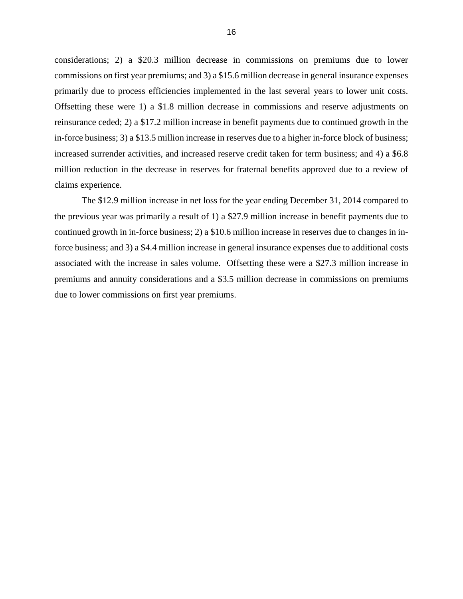considerations; 2) a \$20.3 million decrease in commissions on premiums due to lower commissions on first year premiums; and 3) a \$15.6 million decrease in general insurance expenses primarily due to process efficiencies implemented in the last several years to lower unit costs. Offsetting these were 1) a \$1.8 million decrease in commissions and reserve adjustments on in-force business; 3) a \$13.5 million increase in reserves due to a higher in-force block of business; increased surrender activities, and increased reserve credit taken for term business; and 4) a \$6.8 million reduction in the decrease in reserves for fraternal benefits approved due to a review of reinsurance ceded; 2) a \$17.2 million increase in benefit payments due to continued growth in the claims experience.

 The \$12.9 million increase in net loss for the year ending December 31, 2014 compared to the previous year was primarily a result of 1) a \$27.9 million increase in benefit payments due to continued growth in in-force business; 2) a \$10.6 million increase in reserves due to changes in in- force business; and 3) a \$4.4 million increase in general insurance expenses due to additional costs associated with the increase in sales volume. Offsetting these were a \$27.3 million increase in premiums and annuity considerations and a \$3.5 million decrease in commissions on premiums due to lower commissions on first year premiums.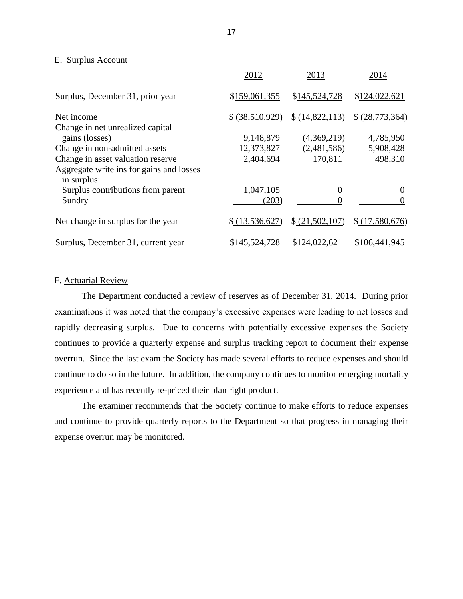#### E. Surplus Account

|                                                         | 2012            | 2013            | 2014            |
|---------------------------------------------------------|-----------------|-----------------|-----------------|
| Surplus, December 31, prior year                        | \$159,061,355   | \$145,524,728   | \$124,022,621   |
| Net income<br>Change in net unrealized capital          | \$ (38,510,929) | \$(14,822,113)  | \$ (28,773,364) |
| gains (losses)                                          | 9,148,879       | (4,369,219)     | 4,785,950       |
| Change in non-admitted assets                           | 12,373,827      | (2,481,586)     | 5,908,428       |
| Change in asset valuation reserve                       | 2,404,694       | 170,811         | 498,310         |
| Aggregate write ins for gains and losses<br>in surplus: |                 |                 |                 |
| Surplus contributions from parent                       | 1,047,105       | 0               | 0               |
| Sundry                                                  | (203)           |                 |                 |
| Net change in surplus for the year                      | \$(13,536,627)  | \$ (21,502,107) | \$(17,580,676)  |
| Surplus, December 31, current year                      | \$145,524,728   | \$124,022,621   | \$106,441,945   |

### F. Actuarial Review

 The Department conducted a review of reserves as of December 31, 2014. During prior examinations it was noted that the company's excessive expenses were leading to net losses and rapidly decreasing surplus. Due to concerns with potentially excessive expenses the Society continues to provide a quarterly expense and surplus tracking report to document their expense overrun. Since the last exam the Society has made several efforts to reduce expenses and should continue to do so in the future. In addition, the company continues to monitor emerging mortality experience and has recently re-priced their plan right product.

 The examiner recommends that the Society continue to make efforts to reduce expenses and continue to provide quarterly reports to the Department so that progress in managing their expense overrun may be monitored.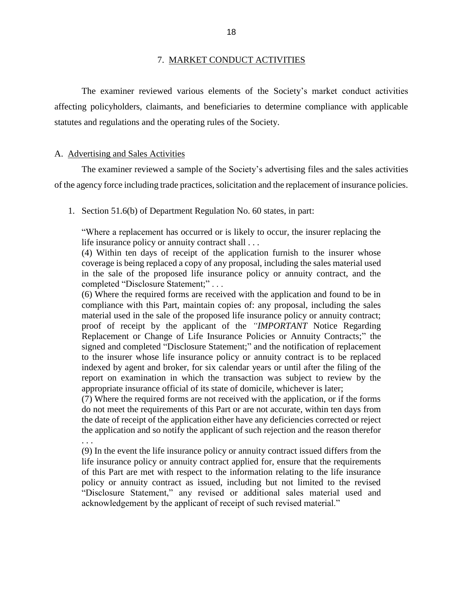#### 7. MARKET CONDUCT ACTIVITIES

<span id="page-20-0"></span> affecting policyholders, claimants, and beneficiaries to determine compliance with applicable The examiner reviewed various elements of the Society's market conduct activities statutes and regulations and the operating rules of the Society.

#### A. Advertising and Sales Activities

 of the agency force including trade practices, solicitation and the replacement of insurance policies. The examiner reviewed a sample of the Society's advertising files and the sales activities

1. Section 51.6(b) of Department Regulation No. 60 states, in part:

 "Where a replacement has occurred or is likely to occur, the insurer replacing the life insurance policy or annuity contract shall . . .

 (4) Within ten days of receipt of the application furnish to the insurer whose coverage is being replaced a copy of any proposal, including the sales material used in the sale of the proposed life insurance policy or annuity contract, and the completed "Disclosure Statement;" . . .

 (6) Where the required forms are received with the application and found to be in compliance with this Part, maintain copies of: any proposal, including the sales material used in the sale of the proposed life insurance policy or annuity contract; proof of receipt by the applicant of the *"IMPORTANT* Notice Regarding Replacement or Change of Life Insurance Policies or Annuity Contracts;" the signed and completed "Disclosure Statement;" and the notification of replacement to the insurer whose life insurance policy or annuity contract is to be replaced indexed by agent and broker, for six calendar years or until after the filing of the report on examination in which the transaction was subject to review by the appropriate insurance official of its state of domicile, whichever is later;

 (7) Where the required forms are not received with the application, or if the forms the date of receipt of the application either have any deficiencies corrected or reject do not meet the requirements of this Part or are not accurate, within ten days from the application and so notify the applicant of such rejection and the reason therefor

 (9) In the event the life insurance policy or annuity contract issued differs from the life insurance policy or annuity contract applied for, ensure that the requirements of this Part are met with respect to the information relating to the life insurance policy or annuity contract as issued, including but not limited to the revised "Disclosure Statement," any revised or additional sales material used and . . . acknowledgement by the applicant of receipt of such revised material."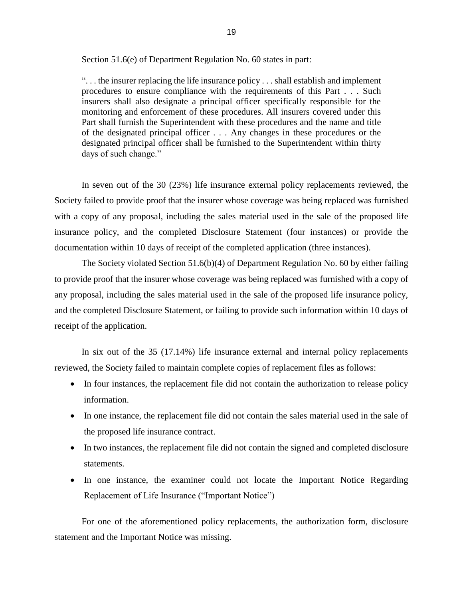Section 51.6(e) of Department Regulation No. 60 states in part:

 ". . . the insurer replacing the life insurance policy . . . shall establish and implement procedures to ensure compliance with the requirements of this Part . . . Such insurers shall also designate a principal officer specifically responsible for the of the designated principal officer . . . Any changes in these procedures or the designated principal officer shall be furnished to the Superintendent within thirty monitoring and enforcement of these procedures. All insurers covered under this Part shall furnish the Superintendent with these procedures and the name and title days of such change."

 In seven out of the 30 (23%) life insurance external policy replacements reviewed, the Society failed to provide proof that the insurer whose coverage was being replaced was furnished with a copy of any proposal, including the sales material used in the sale of the proposed life insurance policy, and the completed Disclosure Statement (four instances) or provide the documentation within 10 days of receipt of the completed application (three instances).

 The Society violated Section 51.6(b)(4) of Department Regulation No. 60 by either failing to provide proof that the insurer whose coverage was being replaced was furnished with a copy of any proposal, including the sales material used in the sale of the proposed life insurance policy, and the completed Disclosure Statement, or failing to provide such information within 10 days of receipt of the application.

 In six out of the 35 (17.14%) life insurance external and internal policy replacements reviewed, the Society failed to maintain complete copies of replacement files as follows:

- In four instances, the replacement file did not contain the authorization to release policy information.
- In one instance, the replacement file did not contain the sales material used in the sale of the proposed life insurance contract.
- In two instances, the replacement file did not contain the signed and completed disclosure statements.
- In one instance, the examiner could not locate the Important Notice Regarding Replacement of Life Insurance ("Important Notice")

 For one of the aforementioned policy replacements, the authorization form, disclosure statement and the Important Notice was missing.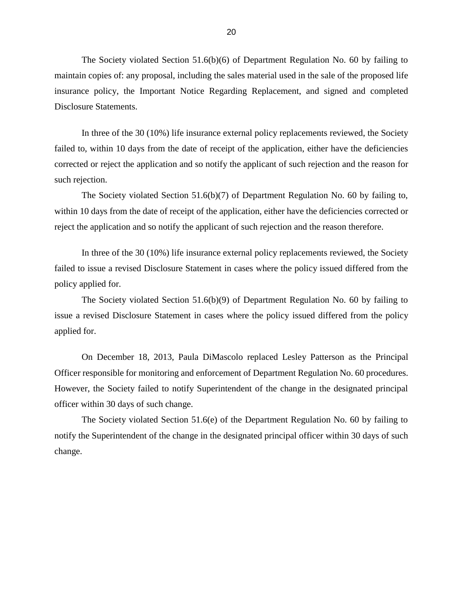insurance policy, the Important Notice Regarding Replacement, and signed and completed The Society violated Section 51.6(b)(6) of Department Regulation No. 60 by failing to maintain copies of: any proposal, including the sales material used in the sale of the proposed life Disclosure Statements.

 In three of the 30 (10%) life insurance external policy replacements reviewed, the Society failed to, within 10 days from the date of receipt of the application, either have the deficiencies corrected or reject the application and so notify the applicant of such rejection and the reason for such rejection.

 The Society violated Section 51.6(b)(7) of Department Regulation No. 60 by failing to, within 10 days from the date of receipt of the application, either have the deficiencies corrected or reject the application and so notify the applicant of such rejection and the reason therefore.

 In three of the 30 (10%) life insurance external policy replacements reviewed, the Society failed to issue a revised Disclosure Statement in cases where the policy issued differed from the policy applied for.

 The Society violated Section 51.6(b)(9) of Department Regulation No. 60 by failing to issue a revised Disclosure Statement in cases where the policy issued differed from the policy applied for.

 On December 18, 2013, Paula DiMascolo replaced Lesley Patterson as the Principal Officer responsible for monitoring and enforcement of Department Regulation No. 60 procedures. However, the Society failed to notify Superintendent of the change in the designated principal officer within 30 days of such change.

 The Society violated Section 51.6(e) of the Department Regulation No. 60 by failing to notify the Superintendent of the change in the designated principal officer within 30 days of such change.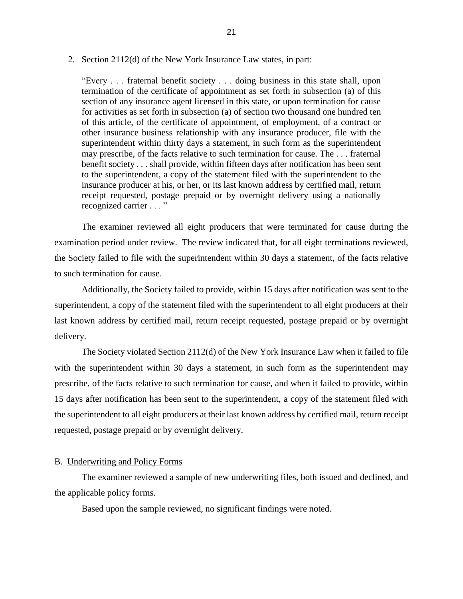#### <span id="page-23-0"></span>2. Section 2112(d) of the New York Insurance Law states, in part:

 "Every . . . fraternal benefit society . . . doing business in this state shall, upon section of any insurance agent licensed in this state, or upon termination for cause other insurance business relationship with any insurance producer, file with the superintendent within thirty days a statement, in such form as the superintendent may prescribe, of the facts relative to such termination for cause. The . . . fraternal benefit society . . . shall provide, within fifteen days after notification has been sent to the superintendent, a copy of the statement filed with the superintendent to the receipt requested, postage prepaid or by overnight delivery using a nationally recognized carrier . . . " termination of the certificate of appointment as set forth in subsection (a) of this for activities as set forth in subsection (a) of section two thousand one hundred ten of this article, of the certificate of appointment, of employment, of a contract or insurance producer at his, or her, or its last known address by certified mail, return

 The examiner reviewed all eight producers that were terminated for cause during the examination period under review. The review indicated that, for all eight terminations reviewed, the Society failed to file with the superintendent within 30 days a statement, of the facts relative to such termination for cause.

 superintendent, a copy of the statement filed with the superintendent to all eight producers at their last known address by certified mail, return receipt requested, postage prepaid or by overnight Additionally, the Society failed to provide, within 15 days after notification was sent to the delivery.

 The Society violated Section 2112(d) of the New York Insurance Law when it failed to file with the superintendent within 30 days a statement, in such form as the superintendent may prescribe, of the facts relative to such termination for cause, and when it failed to provide, within 15 days after notification has been sent to the superintendent, a copy of the statement filed with the superintendent to all eight producers at their last known address by certified mail, return receipt requested, postage prepaid or by overnight delivery.

#### B. Underwriting and Policy Forms

The examiner reviewed a sample of new underwriting files, both issued and declined, and the applicable policy forms.

Based upon the sample reviewed, no significant findings were noted.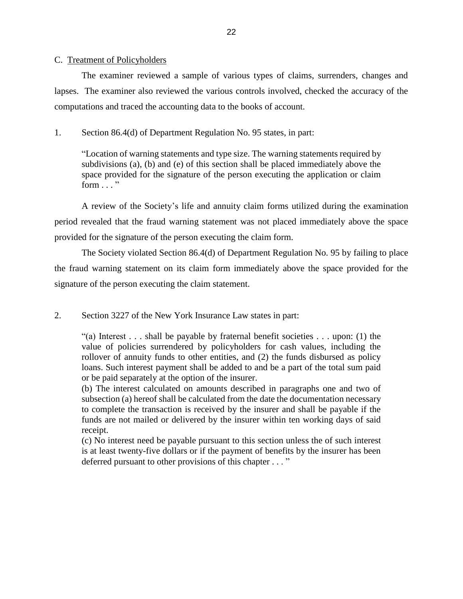#### <span id="page-24-0"></span>C. Treatment of Policyholders

 lapses. The examiner also reviewed the various controls involved, checked the accuracy of the The examiner reviewed a sample of various types of claims, surrenders, changes and computations and traced the accounting data to the books of account.

### 1. Section 86.4(d) of Department Regulation No. 95 states, in part:

 "Location of warning statements and type size. The warning statements required by subdivisions (a), (b) and (e) of this section shall be placed immediately above the space provided for the signature of the person executing the application or claim form  $\dots$  "

 A review of the Society's life and annuity claim forms utilized during the examination period revealed that the fraud warning statement was not placed immediately above the space provided for the signature of the person executing the claim form.

 The Society violated Section 86.4(d) of Department Regulation No. 95 by failing to place the fraud warning statement on its claim form immediately above the space provided for the signature of the person executing the claim statement.

2. Section 3227 of the New York Insurance Law states in part:

"(a) Interest  $\ldots$  shall be payable by fraternal benefit societies  $\ldots$  upon: (1) the value of policies surrendered by policyholders for cash values, including the rollover of annuity funds to other entities, and (2) the funds disbursed as policy loans. Such interest payment shall be added to and be a part of the total sum paid or be paid separately at the option of the insurer.

 (b) The interest calculated on amounts described in paragraphs one and two of subsection (a) hereof shall be calculated from the date the documentation necessary to complete the transaction is received by the insurer and shall be payable if the funds are not mailed or delivered by the insurer within ten working days of said receipt.

 is at least twenty-five dollars or if the payment of benefits by the insurer has been deferred pursuant to other provisions of this chapter . . . "(c) No interest need be payable pursuant to this section unless the of such interest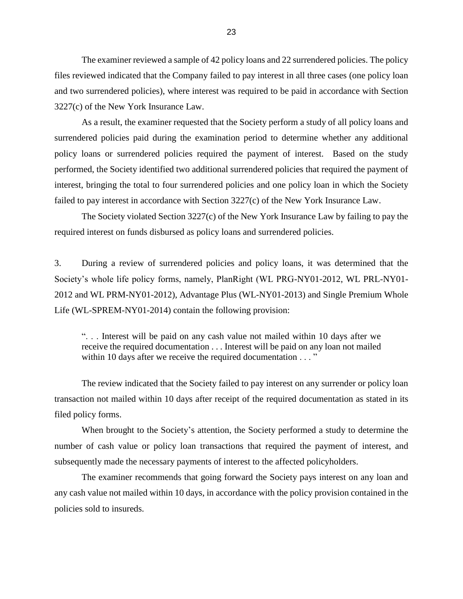The examiner reviewed a sample of 42 policy loans and 22 surrendered policies. The policy files reviewed indicated that the Company failed to pay interest in all three cases (one policy loan 3227(c) of the New York Insurance Law. and two surrendered policies), where interest was required to be paid in accordance with Section

 As a result, the examiner requested that the Society perform a study of all policy loans and surrendered policies paid during the examination period to determine whether any additional policy loans or surrendered policies required the payment of interest. Based on the study performed, the Society identified two additional surrendered policies that required the payment of interest, bringing the total to four surrendered policies and one policy loan in which the Society failed to pay interest in accordance with Section 3227(c) of the New York Insurance Law.

 The Society violated Section 3227(c) of the New York Insurance Law by failing to pay the required interest on funds disbursed as policy loans and surrendered policies.

 $\overline{3}$ . Society's whole life policy forms, namely, PlanRight (WL PRG-NY01-2012, WL PRL-NY01- During a review of surrendered policies and policy loans, it was determined that the 2012 and WL PRM-NY01-2012), Advantage Plus (WL-NY01-2013) and Single Premium Whole Life (WL-SPREM-NY01-2014) contain the following provision:

 ". . . Interest will be paid on any cash value not mailed within 10 days after we receive the required documentation . . . Interest will be paid on any loan not mailed within 10 days after we receive the required documentation . . . "

 The review indicated that the Society failed to pay interest on any surrender or policy loan filed policy forms. transaction not mailed within 10 days after receipt of the required documentation as stated in its

 When brought to the Society's attention, the Society performed a study to determine the number of cash value or policy loan transactions that required the payment of interest, and subsequently made the necessary payments of interest to the affected policyholders.

 The examiner recommends that going forward the Society pays interest on any loan and any cash value not mailed within 10 days, in accordance with the policy provision contained in the policies sold to insureds.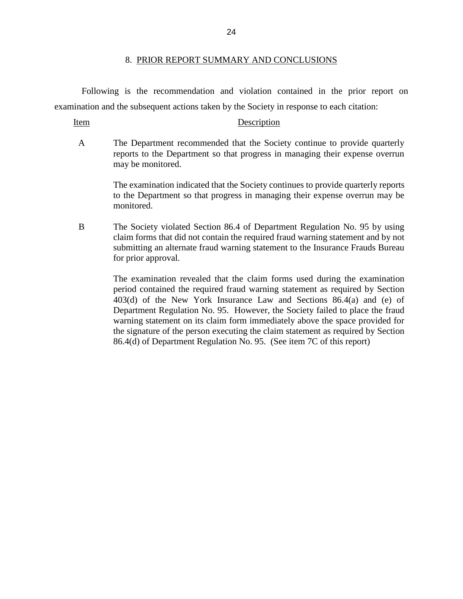#### 8. PRIOR REPORT SUMMARY AND CONCLUSIONS

<span id="page-26-0"></span> Following is the recommendation and violation contained in the prior report on examination and the subsequent actions taken by the Society in response to each citation:

#### Item Description

 A The Department recommended that the Society continue to provide quarterly reports to the Department so that progress in managing their expense overrun may be monitored.

> The examination indicated that the Society continues to provide quarterly reports to the Department so that progress in managing their expense overrun may be monitored.

 B The Society violated Section 86.4 of Department Regulation No. 95 by using claim forms that did not contain the required fraud warning statement and by not submitting an alternate fraud warning statement to the Insurance Frauds Bureau for prior approval.

> The examination revealed that the claim forms used during the examination period contained the required fraud warning statement as required by Section Department Regulation No. 95. However, the Society failed to place the fraud warning statement on its claim form immediately above the space provided for the signature of the person executing the claim statement as required by Section 86.4(d) of Department Regulation No. 95. (See item 7C of this report) 403(d) of the New York Insurance Law and Sections 86.4(a) and (e) of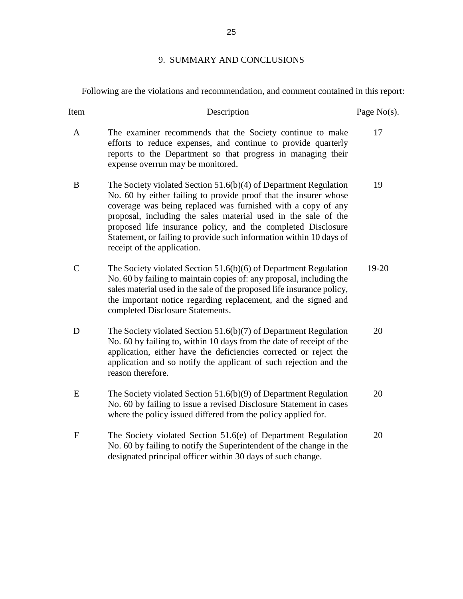## 9. SUMMARY AND CONCLUSIONS

<span id="page-27-0"></span>Following are the violations and recommendation, and comment contained in this report:

| Item             | Description                                                                                                                                                                                                                                                                                                                                                                                                                                  | Page $No(s)$ . |
|------------------|----------------------------------------------------------------------------------------------------------------------------------------------------------------------------------------------------------------------------------------------------------------------------------------------------------------------------------------------------------------------------------------------------------------------------------------------|----------------|
| A                | The examiner recommends that the Society continue to make<br>efforts to reduce expenses, and continue to provide quarterly<br>reports to the Department so that progress in managing their<br>expense overrun may be monitored.                                                                                                                                                                                                              | 17             |
| B                | The Society violated Section 51.6(b)(4) of Department Regulation<br>No. 60 by either failing to provide proof that the insurer whose<br>coverage was being replaced was furnished with a copy of any<br>proposal, including the sales material used in the sale of the<br>proposed life insurance policy, and the completed Disclosure<br>Statement, or failing to provide such information within 10 days of<br>receipt of the application. | 19             |
| $\mathbf C$      | The Society violated Section $51.6(b)(6)$ of Department Regulation<br>No. 60 by failing to maintain copies of: any proposal, including the<br>sales material used in the sale of the proposed life insurance policy,<br>the important notice regarding replacement, and the signed and<br>completed Disclosure Statements.                                                                                                                   | $19 - 20$      |
| D                | The Society violated Section $51.6(b)(7)$ of Department Regulation<br>No. 60 by failing to, within 10 days from the date of receipt of the<br>application, either have the deficiencies corrected or reject the<br>application and so notify the applicant of such rejection and the<br>reason therefore.                                                                                                                                    | 20             |
| E                | The Society violated Section $51.6(b)(9)$ of Department Regulation<br>No. 60 by failing to issue a revised Disclosure Statement in cases<br>where the policy issued differed from the policy applied for.                                                                                                                                                                                                                                    | 20             |
| $\boldsymbol{F}$ | The Society violated Section 51.6(e) of Department Regulation<br>No. 60 by failing to notify the Superintendent of the change in the<br>designated principal officer within 30 days of such change.                                                                                                                                                                                                                                          | 20             |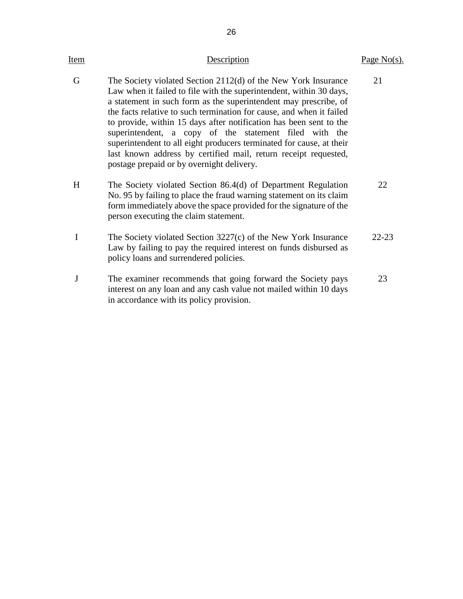| <u>Item</u> | Description                                                                                                                                                                                                                                                                                                                                                                                                                                                                                                                                                                                               | Page $No(s)$ . |
|-------------|-----------------------------------------------------------------------------------------------------------------------------------------------------------------------------------------------------------------------------------------------------------------------------------------------------------------------------------------------------------------------------------------------------------------------------------------------------------------------------------------------------------------------------------------------------------------------------------------------------------|----------------|
| G           | The Society violated Section 2112(d) of the New York Insurance<br>Law when it failed to file with the superintendent, within 30 days,<br>a statement in such form as the superintendent may prescribe, of<br>the facts relative to such termination for cause, and when it failed<br>to provide, within 15 days after notification has been sent to the<br>superintendent, a copy of the statement filed with the<br>superintendent to all eight producers terminated for cause, at their<br>last known address by certified mail, return receipt requested,<br>postage prepaid or by overnight delivery. | 21             |
| H           | The Society violated Section 86.4(d) of Department Regulation<br>No. 95 by failing to place the fraud warning statement on its claim<br>form immediately above the space provided for the signature of the<br>person executing the claim statement.                                                                                                                                                                                                                                                                                                                                                       | 22             |
| $\mathbf I$ | The Society violated Section 3227(c) of the New York Insurance<br>Law by failing to pay the required interest on funds disbursed as<br>policy loans and surrendered policies.                                                                                                                                                                                                                                                                                                                                                                                                                             | $22 - 23$      |
| J           | The examiner recommends that going forward the Society pays<br>interest on any loan and any cash value not mailed within 10 days<br>in accordance with its policy provision.                                                                                                                                                                                                                                                                                                                                                                                                                              | 23             |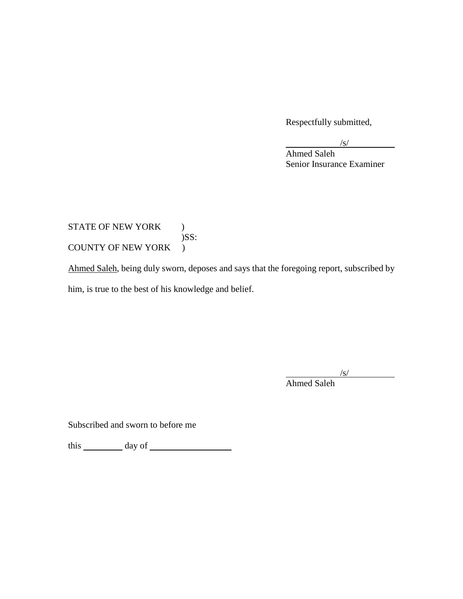Respectfully submitted,

 $/s/$ 

Ahmed Saleh Senior Insurance Examiner

## COUNTY OF NEW YORK ) STATE OF NEW YORK ) )SS:

Ahmed Saleh, being duly sworn, deposes and says that the foregoing report, subscribed by him, is true to the best of his knowledge and belief.

/s/

Ahmed Saleh

Subscribed and sworn to before me

this day of